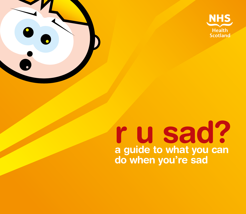

# **r u sad? a guide to what you can do when you're sad**

 $\bullet$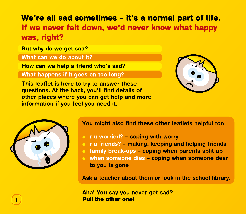# **We're all sad sometimes – it's a normal part of life. If we never felt down, we'd never know what happy was, right?**

**But why do we get sad?**

**What can we do about it?**

**How can we help a friend who's sad?**

**What happens if it goes on too long?**



**This leaflet is here to try to answer these questions. At the back, you'll find details of other places where you can get help and more information if you feel you need it.**



#### **You might also find these other leaflets helpful too:**

- <sup>l</sup> **r u worried? coping with worry**
- **o** r u friends? making, keeping and helping friends
- **o** family break-ups coping when parents split up
- **e** when someone dies coping when someone dear **to you is gone**

**Ask a teacher about them or look in the school library.**

**Aha! You say you never get sad? Pull the other one!**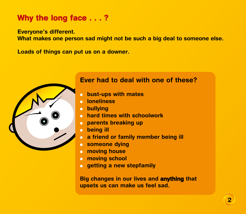# **Why the long face . . . ?**

**Everyone's different.** 

**What makes one person sad might not be such a big deal to someone else.**

**Loads of things can put us on a downer.** 



#### **Ever had to deal with one of these?**

- **o** bust-ups with mates
- *<u>loneliness</u>*
- **.** bullying
- **hard times with schoolwork**
- **o** parents breaking up
- **o** being ill
- **a friend or family member being ill**
- **.** someone dying
- **e** moving house
- **e** moving school
- **e** getting a new stepfamily

**Big changes in our lives and anything that upsets us can make us feel sad.**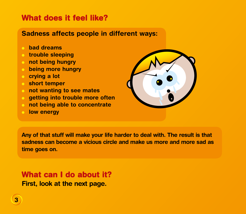# **What does it feel like?**

### **Sadness affects people in different ways:**

- <sup>l</sup> **bad dreams**
- **c** trouble sleeping
- **o** not being hungry
- **being more hungry**
- **c** crying a lot
- **c** short temper
- **o** not wanting to see mates
- **getting into trouble more often**
- **not being able to concentrate**
- **d low energy**



**Any of that stuff will make your life harder to deal with. The result is that sadness can become a vicious circle and make us more and more sad as time goes on.** 

**What can I do about it? First, look at the next page.**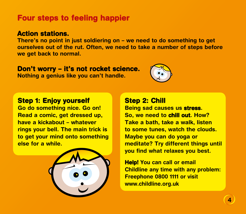# **Four steps to feeling happier**

#### **Action stations.**

**There's no point in just soldiering on – we need to do something to get ourselves out of the rut. Often, we need to take a number of steps before we get back to normal.**

#### **Don't worry – it's not rocket science.**

**Nothing a genius like you can't handle.**



#### **Step 1: Enjoy yourself**

**Go do something nice. Go on! Read a comic, get dressed up, have a kickabout – whatever rings your bell. The main trick is to get your mind onto something else for a while.**



#### **Step 2: Chill**

**Being sad causes us stress. So, we need to chill out. How? Take a bath, take a walk, listen to some tunes, watch the clouds. Maybe you can do yoga or meditate? Try different things until you find what relaxes you best.**

**Help! You can call or email Childline any time with any problem: Freephone 0800 1111 or visit www.childline.org.uk**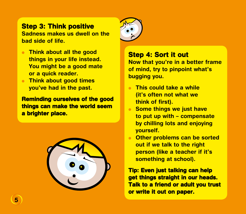### **Step 3: Think positive**

**Sadness makes us dwell on the bad side of life.**

- **c** Think about all the good **things in your life instead. You might be a good mate or a quick reader.**
- **Think about good times you've had in the past.**

**Reminding ourselves of the good things can make the world seem a brighter place.**





### **Step 4: Sort it out**

**Now that you're in a better frame of mind, try to pinpoint what's bugging you.**

- <sup>l</sup> **This could take a while (it's often not what we think of first).**
- **e** Some things we just have **to put up with – compensate by chilling lots and enjoying yourself.**
- **e** Other problems can be sorted **out if we talk to the right person (like a teacher if it's something at school).**

**Tip: Even just talking can help get things straight in our heads. Talk to a friend or adult you trust or write it out on paper.**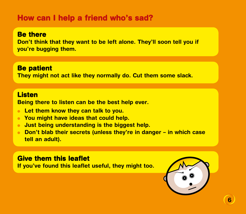# **How can I help a friend who's sad?**

#### **Be there**

**Don't think that they want to be left alone. They'll soon tell you if you're bugging them.**

#### **Be patient**

**They might not act like they normally do. Cut them some slack.**

#### **Listen**

**Being there to listen can be the best help ever.**

- **Example 1 Let them know they can talk to you.**
- **You might have ideas that could help.**
- **I** Just being understanding is the biggest help.
- **Don't blab their secrets (unless they're in danger in which case tell an adult).**

### **Give them this leaflet**

**If you've found this leaflet useful, they might too.**

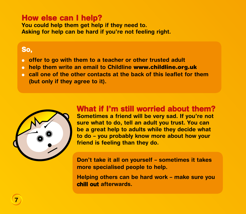# **How else can I help?**

**You could help them get help if they need to. Asking for help can be hard if you're not feeling right.** 

### **So,**

- **o** offer to go with them to a teacher or other trusted adult
- **o** help them write an email to Childline www.childline.org.uk
- **call one of the other contacts at the back of this leaflet for them (but only if they agree to it).**



# **What if I'm still worried about them?**

**Sometimes a friend will be very sad. If you're not sure what to do, tell an adult you trust. You can be a great help to adults while they decide what to do – you probably know more about how your friend is feeling than they do.**

**Don't take it all on yourself – sometimes it takes more specialised people to help.**

**Helping others can be hard work – make sure you chill out afterwards.**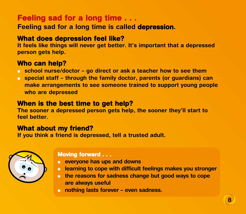# **Feeling sad for a long time . . .**

**Feeling sad for a long time is called depression.** 

### **What does depression feel like?**

**It feels like things will never get better. It's important that a depressed person gets help.**

# **Who can help?**

- **o** school nurse/doctor go direct or ask a teacher how to see them
- **<u>c</u>** special staff through the family doctor, parents (or guardians) can **make arrangements to see someone trained to support young people who are depressed**

### **When is the best time to get help?**

**The sooner a depressed person gets help, the sooner they'll start to feel better.** 

### **What about my friend?**

**If you think a friend is depressed, tell a trusted adult.**



#### **Moving forward . . .**

- **e** everyone has ups and downs
- **learning to cope with difficult feelings makes you stronger**
- **o** the reasons for sadness change but good ways to cope **are always useful**
- **o** nothing lasts forever even sadness.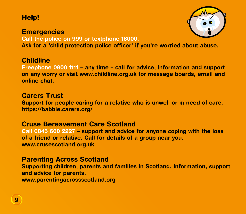# **Help!**

# **Emergencies Call the police on 999 or textphone 18000.**



**Ask for a 'child protection police officer' if you're worried about abuse.**

#### **Childline**

**Freephone 0800 1111 – any time – call for advice, information and support on any worry or visit www.childline.org.uk for message boards, email and online chat.**

#### **Carers Trust**

**Support for people caring for a relative who is unwell or in need of care. https://babble.carers.org/**

#### **Cruse Bereavement Care Scotland**

**Call 0845 600 2227 – support and advice for anyone coping with the loss of a friend or relative. Call for details of a group near you. www.crusescotland.org.uk**

#### **Parenting Across Scotland**

**Supporting children, parents and families in Scotland. Information, support and advice for parents. [www.parentingacrossscotland.org](http://www.parentingacrossscotland.org)**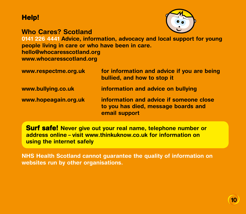# **Help!**

#### **Who Cares? Scotland**



**0141 226 4441 Advice, information, advocacy and local support for young people living in care or who have been in care. [hello@whocaresscotland.org](mailto:hello%40whocaresscotland.org?subject=) [www.whocaresscotland.org](http://www.whocaresscotland.org)**

| www.respectme.org.uk | for information and advice if you are being<br>bullied, and how to stop it                      |
|----------------------|-------------------------------------------------------------------------------------------------|
| www.bullying.co.uk   | information and advice on bullying                                                              |
| www.hopeagain.org.uk | information and advice if someone close<br>to you has died, message boards and<br>email support |

**Surf safe! Never give out your real name, telephone number or address online – visit [www.thinkuknow.co.uk](http://www.thinkuknow.co.uk) for information on using the internet safely**

**NHS Health Scotland cannot guarantee the quality of information on websites run by other organisations.**